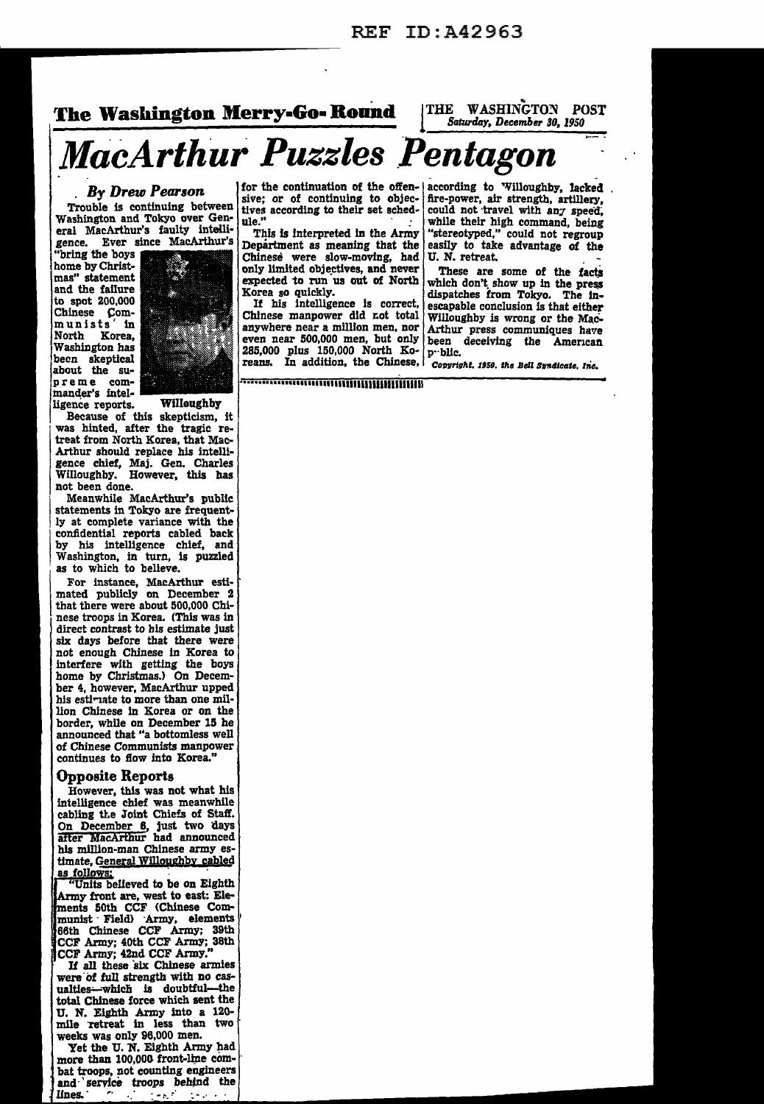## **The Washington Merry-Go· Round** 1 Saturday, December 30, 1950

THE WASHINGTON POST<br>Saturday, December 30, 1950

# **MacArthur** *Puzzles \_Pentagon* ~ -

### . By *Drew Pearson.*

Trouble is continuing between Washington and Tokyo over General MacArthur's faulty intelligence. Ever since MacArthur's

"bring the boys home by Christmas" statement and the failure to spot 200,000 Chinese Communists<sup>'</sup> North Korea, | washington has<br>| been skeptical Washington has about the sumander's intelligence reports. Willoughby



Because of this skepticism, it was hinted, after the tragic re-I treat from North Korea, that Mac-<br>Arthur should replace his intelli-<br>gence chief, Maj. Gen. Charles was denoted, more traged and treat from North Korea, that Macgence chief, Maj. Gen. Charles<br>Willoughby, However, this has Willoughby. However, this has not been done.

1 Meanwhile MacArthur's public<br>statements in Tokyo are frequently at complete variance with the by his intelligence chief, and<br>Washington, in turn, is puzzled<br>as to which to helieve. confidential reports cabled back Washington, in turn, is puzzled as to which to believe.

For instance, MacArthur esti-<br>mated publicly on December 2<br>that there were about 500,000 Chinese troops in Korea. (This was in direct contrast to his estimate just<br>six days before that there were not enough Chinese in Korea to interfere with getting the boys home by Christmas.) On December 4, however, MacArthur upped his estimate to more than one million Chinese in Korea or on the border, while on December 15 he announced that "a bottomless well of Chinese Communists manpower continues to flow into Korea."

#### Opposite Reports

However, this was not what his intelligence chief was meanwhile cabling the Joint Chiefs of Staff. On December 6, just two days after MacArthur had announced his million-man Chinese army es-<br>timate, General Willoughby cabled as follows:<br>"Units believed to be on Eighth

Army front are, west to east: Elements 50th CCF (Chinese Com $m$ unist · Field) · Army, elements  $\parallel$ 66th Chinese CCF Army; 39th CCF Army; 4oth CCF Army; 38th CCF Army; 42nd CCF Army."<br>If all these six Chinese armies

were of full strength with no casualties-which is doubtful-the total Chinese force which sent the U. N. Eighth Army into a 120-<br>mile retreat in less than two weeks was only 96,000 men.<br>Yet the U. N. Eighth Army had

more than 100,000 front-line com-<br>bat troops, not counting engineers and service troops behind the lines.

sive; or of continuing to objec- fire-power, air strength, artillery, tives according to their set sched- could not travel with any speed,

Chinese were slow-moving, had U. N. retreat. only limited objectives, and never These are some of the facts expected to run us out of North which don't show up in the prese Korea so quickly.<br>If his intelligence is correct,

If his intelligence is correct, escapable conclusion is that either<br>Chinese manpower did not total Willoughby is wrong or the Mac-Chinese manpower did not total Willoughby is wrong or the Macanywhere near a million men, nor Arthur press communiques have even near 500,000 men, but only  $\begin{bmatrix} \text{been} \\ \text{been} \end{bmatrix}$  deceiving the American 285,000 plus 150,000 North Ko- $\begin{bmatrix} \text{p} \cdot \text{blic} \end{bmatrix}$  $285,000$  plus 150,000 North Ko-<br>reans. In addition, the Chinese.

for the continuation of the offen- $\vert$  according to  $\vert$  Willoughby, lacked sive; or of continuing to objec-<br>fire-power, air strength, artillery, the." while their high command, being<br>This is interpreted in the Army "stereotyped." could not regroup "stereotyped," could not regroup<br>easily to take advantage of the Department as meaning that the easily to take advantage of the

which don't show up in the press<br>dispatches from Tokyo. The in-

Copyright. 1950, the Bell Syndicate, Inc.

pre me com- ............. 111<sup>111111111111111111111111111111111</sup>